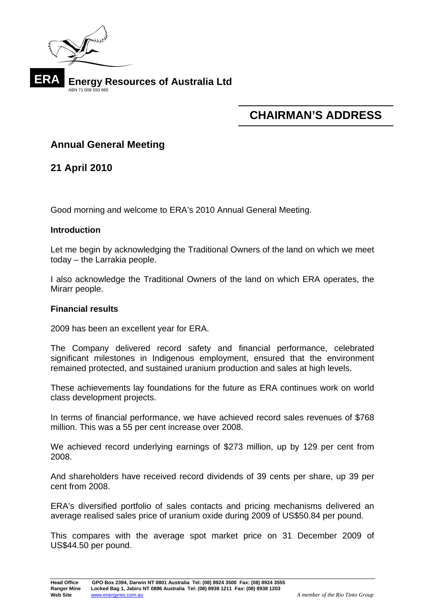

# **CHAIRMAN'S ADDRESS**

# **Annual General Meeting**

**21 April 2010** 

Good morning and welcome to ERA's 2010 Annual General Meeting.

## **Introduction**

Let me begin by acknowledging the Traditional Owners of the land on which we meet today – the Larrakia people.

I also acknowledge the Traditional Owners of the land on which ERA operates, the Mirarr people.

### **Financial results**

2009 has been an excellent year for ERA.

The Company delivered record safety and financial performance, celebrated significant milestones in Indigenous employment, ensured that the environment remained protected, and sustained uranium production and sales at high levels.

These achievements lay foundations for the future as ERA continues work on world class development projects.

In terms of financial performance, we have achieved record sales revenues of \$768 million. This was a 55 per cent increase over 2008.

We achieved record underlying earnings of \$273 million, up by 129 per cent from 2008.

And shareholders have received record dividends of 39 cents per share, up 39 per cent from 2008.

ERA's diversified portfolio of sales contacts and pricing mechanisms delivered an average realised sales price of uranium oxide during 2009 of US\$50.84 per pound.

This compares with the average spot market price on 31 December 2009 of US\$44.50 per pound.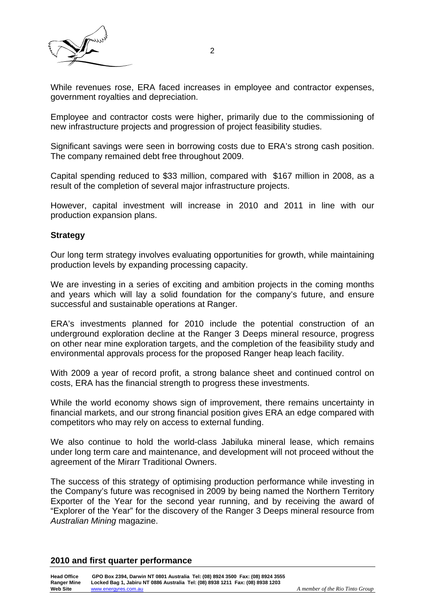

While revenues rose, ERA faced increases in employee and contractor expenses, government royalties and depreciation.

Employee and contractor costs were higher, primarily due to the commissioning of new infrastructure projects and progression of project feasibility studies.

Significant savings were seen in borrowing costs due to ERA's strong cash position. The company remained debt free throughout 2009.

Capital spending reduced to \$33 million, compared with \$167 million in 2008, as a result of the completion of several major infrastructure projects.

However, capital investment will increase in 2010 and 2011 in line with our production expansion plans.

#### **Strategy**

Our long term strategy involves evaluating opportunities for growth, while maintaining production levels by expanding processing capacity.

We are investing in a series of exciting and ambition projects in the coming months and years which will lay a solid foundation for the company's future, and ensure successful and sustainable operations at Ranger.

ERA's investments planned for 2010 include the potential construction of an underground exploration decline at the Ranger 3 Deeps mineral resource, progress on other near mine exploration targets, and the completion of the feasibility study and environmental approvals process for the proposed Ranger heap leach facility.

With 2009 a year of record profit, a strong balance sheet and continued control on costs, ERA has the financial strength to progress these investments.

While the world economy shows sign of improvement, there remains uncertainty in financial markets, and our strong financial position gives ERA an edge compared with competitors who may rely on access to external funding.

We also continue to hold the world-class Jabiluka mineral lease, which remains under long term care and maintenance, and development will not proceed without the agreement of the Mirarr Traditional Owners.

The success of this strategy of optimising production performance while investing in the Company's future was recognised in 2009 by being named the Northern Territory Exporter of the Year for the second year running, and by receiving the award of "Explorer of the Year" for the discovery of the Ranger 3 Deeps mineral resource from *Australian Mining* magazine.

#### **2010 and first quarter performance**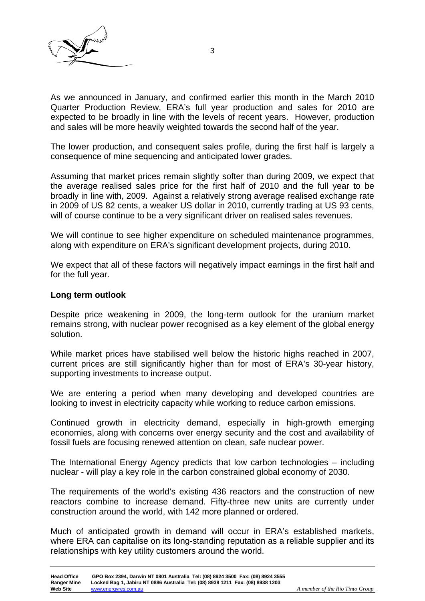

As we announced in January, and confirmed earlier this month in the March 2010 Quarter Production Review, ERA's full year production and sales for 2010 are expected to be broadly in line with the levels of recent years. However, production and sales will be more heavily weighted towards the second half of the year.

The lower production, and consequent sales profile, during the first half is largely a consequence of mine sequencing and anticipated lower grades.

Assuming that market prices remain slightly softer than during 2009, we expect that the average realised sales price for the first half of 2010 and the full year to be broadly in line with, 2009. Against a relatively strong average realised exchange rate in 2009 of US 82 cents, a weaker US dollar in 2010, currently trading at US 93 cents, will of course continue to be a very significant driver on realised sales revenues.

We will continue to see higher expenditure on scheduled maintenance programmes, along with expenditure on ERA's significant development projects, during 2010.

We expect that all of these factors will negatively impact earnings in the first half and for the full year.

#### **Long term outlook**

Despite price weakening in 2009, the long-term outlook for the uranium market remains strong, with nuclear power recognised as a key element of the global energy solution.

While market prices have stabilised well below the historic highs reached in 2007, current prices are still significantly higher than for most of ERA's 30-year history, supporting investments to increase output.

We are entering a period when many developing and developed countries are looking to invest in electricity capacity while working to reduce carbon emissions.

Continued growth in electricity demand, especially in high-growth emerging economies, along with concerns over energy security and the cost and availability of fossil fuels are focusing renewed attention on clean, safe nuclear power.

The International Energy Agency predicts that low carbon technologies – including nuclear - will play a key role in the carbon constrained global economy of 2030.

The requirements of the world's existing 436 reactors and the construction of new reactors combine to increase demand. Fifty-three new units are currently under construction around the world, with 142 more planned or ordered.

Much of anticipated growth in demand will occur in ERA's established markets, where ERA can capitalise on its long-standing reputation as a reliable supplier and its relationships with key utility customers around the world.